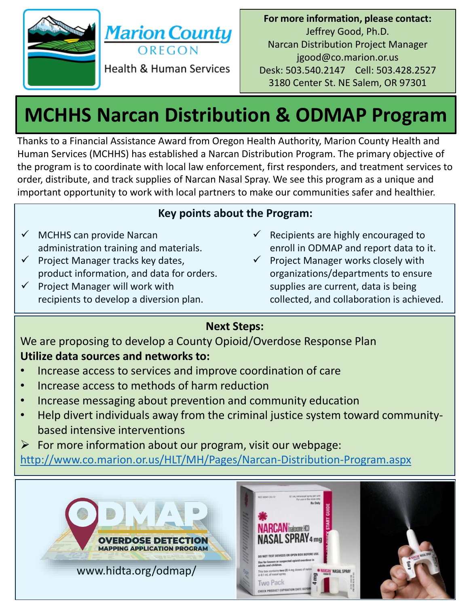



**For more information, please contact:** Jeffrey Good, Ph.D. Narcan Distribution Project Manager jgood@co.marion.or.us Desk: 503.540.2147 Cell: 503.428.2527 3180 Center St. NE Salem, OR 97301

# **MCHHS Narcan Distribution & ODMAP Program**

Thanks to a Financial Assistance Award from Oregon Health Authority, Marion County Health and Human Services (MCHHS) has established a Narcan Distribution Program. The primary objective of the program is to coordinate with local law enforcement, first responders, and treatment services to order, distribute, and track supplies of Narcan Nasal Spray. We see this program as a unique and important opportunity to work with local partners to make our communities safer and healthier.

## **Key points about the Program:**

- $\checkmark$  MCHHS can provide Narcan administration training and materials.
- $\checkmark$  Project Manager tracks key dates, product information, and data for orders.
- Project Manager will work with recipients to develop a diversion plan.
- $\checkmark$  Recipients are highly encouraged to enroll in ODMAP and report data to it.
- $\checkmark$  Project Manager works closely with organizations/departments to ensure supplies are current, data is being collected, and collaboration is achieved.

# **Next Steps:**

We are proposing to develop a County Opioid/Overdose Response Plan **Utilize data sources and networks to:**

- Increase access to services and improve coordination of care
- Increase access to methods of harm reduction
- Increase messaging about prevention and community education
- Help divert individuals away from the criminal justice system toward communitybased intensive interventions
- $\triangleright$  For more information about our program, visit our webpage:

<http://www.co.marion.or.us/HLT/MH/Pages/Narcan-Distribution-Program.aspx>